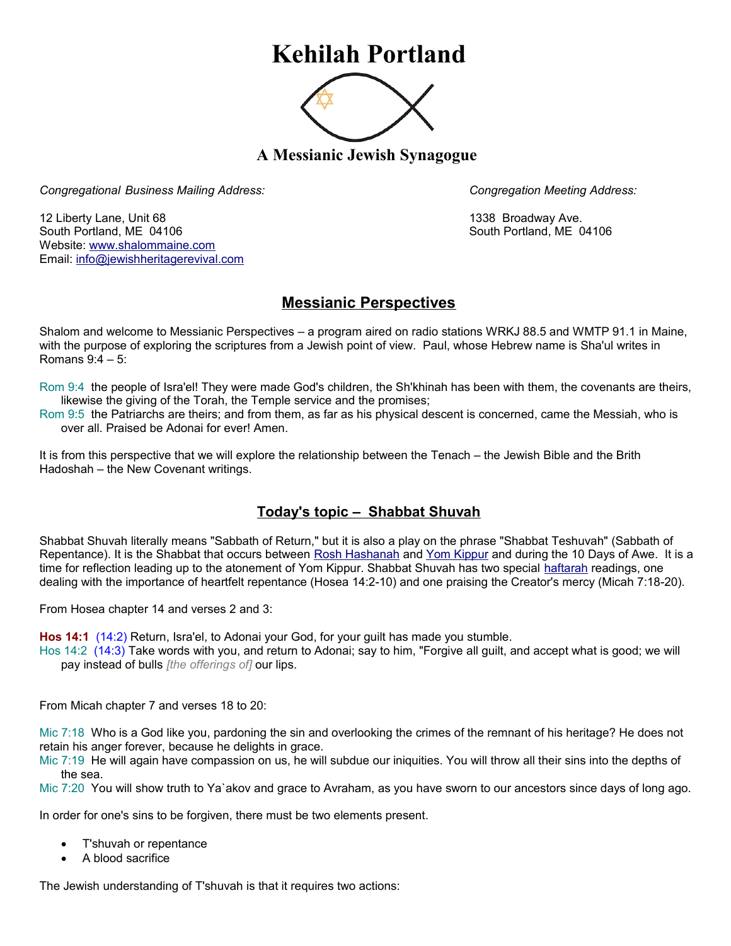## **Kehilah Portland**



**A Messianic Jewish Synagogue** 

*Congregational Business Mailing Address: Congregation Meeting Address:*

12 Liberty Lane, Unit 68 1338 Broadway Ave. South Portland, ME 04106 South Portland, ME 04106 Website: [www.shalommaine.com](http://www.shalommaine.com/) Email: [info@jewishheritagerevival.com](mailto:info@jewishheritagerevival.com) 

## **Messianic Perspectives**

Shalom and welcome to Messianic Perspectives – a program aired on radio stations WRKJ 88.5 and WMTP 91.1 in Maine, with the purpose of exploring the scriptures from a Jewish point of view. Paul, whose Hebrew name is Sha'ul writes in Romans 9:4 – 5:

- Rom 9:4 the people of Isra'el! They were made God's children, the Sh'khinah has been with them, the covenants are theirs, likewise the giving of the Torah, the Temple service and the promises;
- Rom 9:5 the Patriarchs are theirs; and from them, as far as his physical descent is concerned, came the Messiah, who is over all. Praised be Adonai for ever! Amen.

It is from this perspective that we will explore the relationship between the Tenach – the Jewish Bible and the Brith Hadoshah – the New Covenant writings.

## **Today's topic – Shabbat Shuvah**

Shabbat Shuvah literally means "Sabbath of Return," but it is also a play on the phrase "Shabbat Teshuvah" (Sabbath of Repentance). It is the Shabbat that occurs between [Rosh Hashanah](http://www.jewfaq.org/defs/rosh.htm) and [Yom Kippur](http://www.jewfaq.org/defs/yomkippur.htm) and during the 10 Days of Awe. It is a time for reflection leading up to the atonement of Yom Kippur. Shabbat Shuvah has two special [haftarah](http://www.jewfaq.org/defs/haftarah.htm) readings, one dealing with the importance of heartfelt repentance (Hosea 14:2-10) and one praising the Creator's mercy (Micah 7:18-20).

From Hosea chapter 14 and verses 2 and 3:

**Hos 14:1** (14:2) Return, Isra'el, to Adonai your God, for your guilt has made you stumble.

Hos 14:2 (14:3) Take words with you, and return to Adonai; say to him, "Forgive all guilt, and accept what is good; we will pay instead of bulls *[the offerings of]* our lips.

From Micah chapter 7 and verses 18 to 20:

Mic 7:18 Who is a God like you, pardoning the sin and overlooking the crimes of the remnant of his heritage? He does not retain his anger forever, because he delights in grace.

Mic 7:19 He will again have compassion on us, he will subdue our iniquities. You will throw all their sins into the depths of the sea.

Mic 7:20 You will show truth to Ya`akov and grace to Avraham, as you have sworn to our ancestors since days of long ago.

In order for one's sins to be forgiven, there must be two elements present.

- T'shuvah or repentance
- A blood sacrifice

The Jewish understanding of T'shuvah is that it requires two actions: